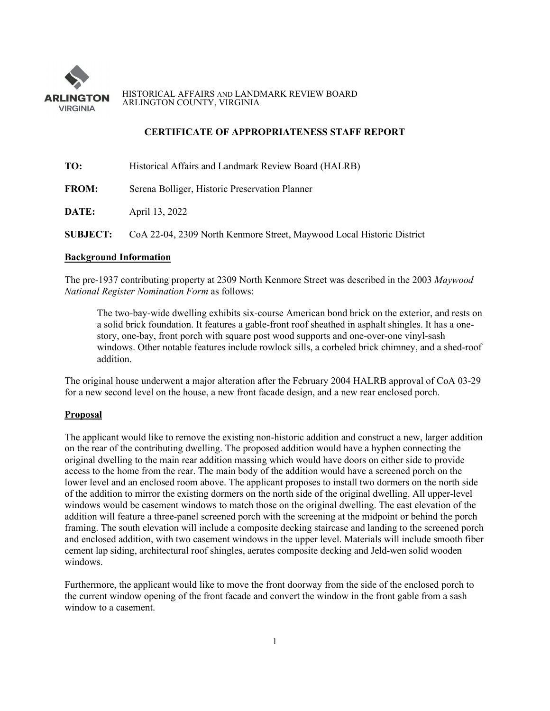

HISTORICAL AFFAIRS AND LANDMARK REVIEW BOARD ARLINGTON COUNTY, VIRGINIA

# **CERTIFICATE OF APPROPRIATENESS STAFF REPORT**

| TO:             | Historical Affairs and Landmark Review Board (HALRB)                  |
|-----------------|-----------------------------------------------------------------------|
| <b>FROM:</b>    | Serena Bolliger, Historic Preservation Planner                        |
| DATE:           | April 13, 2022                                                        |
| <b>SUBJECT:</b> | CoA 22-04, 2309 North Kenmore Street, Maywood Local Historic District |

## **Background Information**

The pre-1937 contributing property at 2309 North Kenmore Street was described in the 2003 *Maywood National Register Nomination Form* as follows:

The two-bay-wide dwelling exhibits six-course American bond brick on the exterior, and rests on a solid brick foundation. It features a gable-front roof sheathed in asphalt shingles. It has a onestory, one-bay, front porch with square post wood supports and one-over-one vinyl-sash windows. Other notable features include rowlock sills, a corbeled brick chimney, and a shed-roof addition.

The original house underwent a major alteration after the February 2004 HALRB approval of CoA 03-29 for a new second level on the house, a new front facade design, and a new rear enclosed porch.

#### **Proposal**

The applicant would like to remove the existing non-historic addition and construct a new, larger addition on the rear of the contributing dwelling. The proposed addition would have a hyphen connecting the original dwelling to the main rear addition massing which would have doors on either side to provide access to the home from the rear. The main body of the addition would have a screened porch on the lower level and an enclosed room above. The applicant proposes to install two dormers on the north side of the addition to mirror the existing dormers on the north side of the original dwelling. All upper-level windows would be casement windows to match those on the original dwelling. The east elevation of the addition will feature a three-panel screened porch with the screening at the midpoint or behind the porch framing. The south elevation will include a composite decking staircase and landing to the screened porch and enclosed addition, with two casement windows in the upper level. Materials will include smooth fiber cement lap siding, architectural roof shingles, aerates composite decking and Jeld-wen solid wooden windows.

Furthermore, the applicant would like to move the front doorway from the side of the enclosed porch to the current window opening of the front facade and convert the window in the front gable from a sash window to a casement.